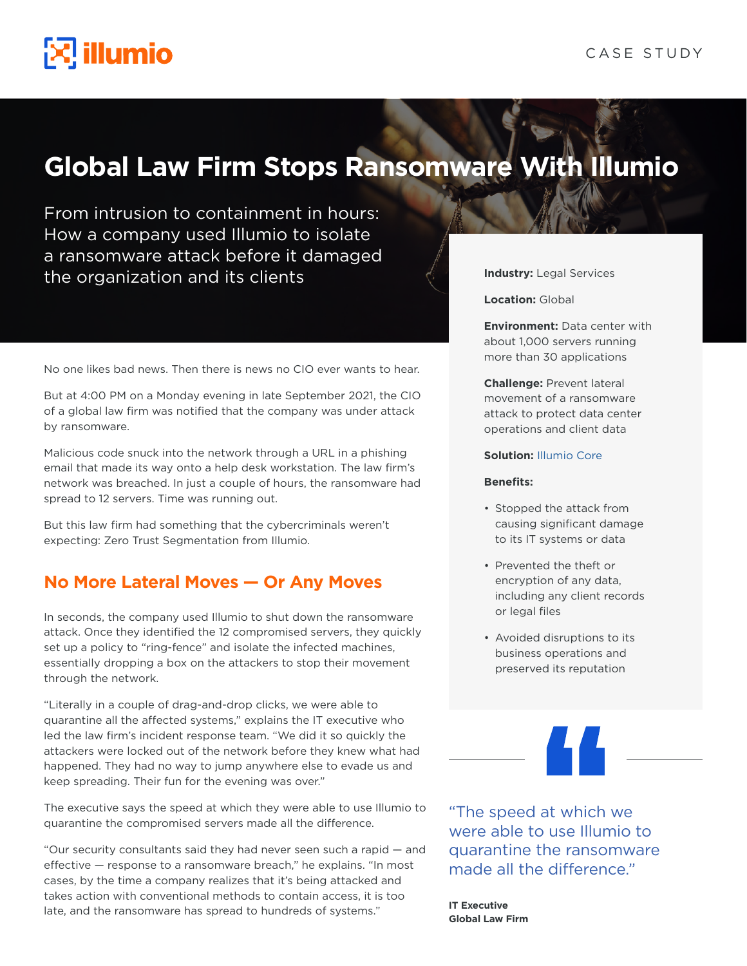

# **Global Law Firm Stops Ransomware With Illumio**

From intrusion to containment in hours: How a company used Illumio to isolate a ransomware attack before it damaged the organization and its clients

No one likes bad news. Then there is news no CIO ever wants to hear.

But at 4:00 PM on a Monday evening in late September 2021, the CIO of a global law firm was notified that the company was under attack by ransomware.

Malicious code snuck into the network through a URL in a phishing email that made its way onto a help desk workstation. The law firm's network was breached. In just a couple of hours, the ransomware had spread to 12 servers. Time was running out.

But this law firm had something that the cybercriminals weren't expecting: Zero Trust Segmentation from Illumio.

#### **No More Lateral Moves — Or Any Moves**

In seconds, the company used Illumio to shut down the ransomware attack. Once they identified the 12 compromised servers, they quickly set up a policy to "ring-fence" and isolate the infected machines, essentially dropping a box on the attackers to stop their movement through the network.

"Literally in a couple of drag-and-drop clicks, we were able to quarantine all the affected systems," explains the IT executive who led the law firm's incident response team. "We did it so quickly the attackers were locked out of the network before they knew what had happened. They had no way to jump anywhere else to evade us and keep spreading. Their fun for the evening was over."

The executive says the speed at which they were able to use Illumio to quarantine the compromised servers made all the difference.

"Our security consultants said they had never seen such a rapid — and effective — response to a ransomware breach," he explains. "In most cases, by the time a company realizes that it's being attacked and takes action with conventional methods to contain access, it is too late, and the ransomware has spread to hundreds of systems."

**Industry:** Legal Services

**Location:** Global

**Environment:** Data center with about 1,000 servers running more than 30 applications

**Challenge:** Prevent lateral movement of a ransomware attack to protect data center operations and client data

#### **Solution:** [Illumio Core](https://www.illumio.com/products/core)

#### **Benefits:**

- Stopped the attack from causing significant damage to its IT systems or data
- Prevented the theft or encryption of any data, including any client records or legal files
- Avoided disruptions to its business operations and preserved its reputation

"The speed at which we were able to use Illumio to quarantine the ransomware made all the difference."

**IT Executive Global Law Firm**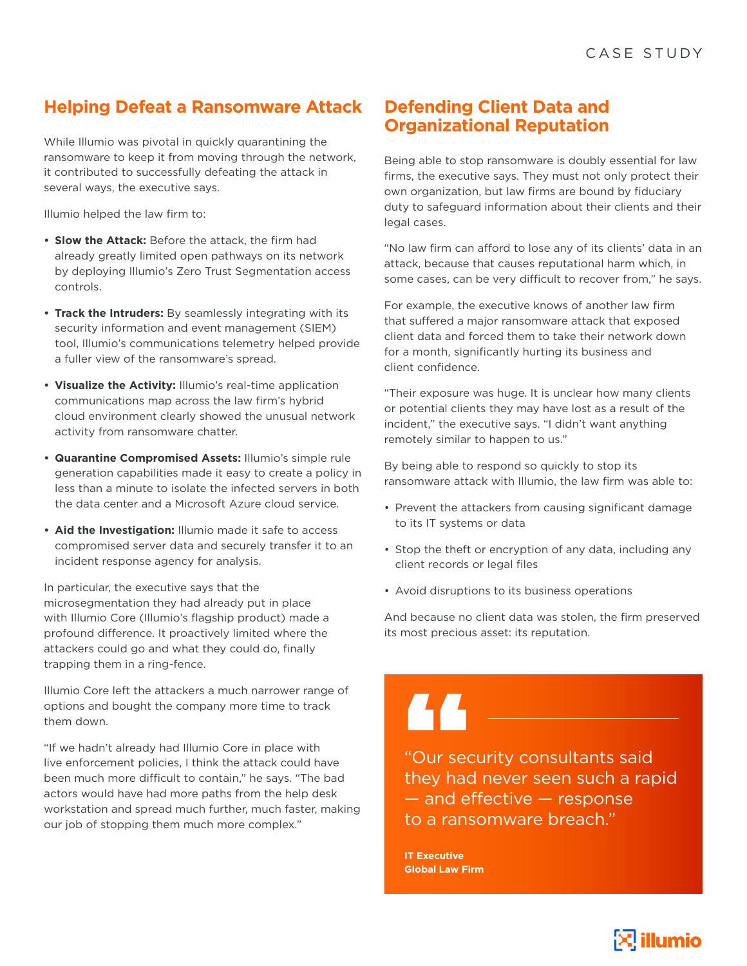## **Helping Defeat a Ransomware Attack**

While Illumio was pivotal in quickly quarantining the ransomware to keep it from moving through the network, it contributed to successfully defeating the attack in several ways, the executive says.

Illumio helped the law firm to:

- **• Slow the Attack:** Before the attack, the firm had already greatly limited open pathways on its network by deploying Illumio's Zero Trust Segmentation access controls.
- **• Track the Intruders:** By seamlessly integrating with its security information and event management (SIEM) tool, Illumio's communications telemetry helped provide a fuller view of the ransomware's spread.
- **• Visualize the Activity:** Illumio's real-time application communications map across the law firm's hybrid cloud environment clearly showed the unusual network activity from ransomware chatter.
- **• Quarantine Compromised Assets:** Illumio's simple rule generation capabilities made it easy to create a policy in less than a minute to isolate the infected servers in both the data center and a Microsoft Azure cloud service.
- **• Aid the Investigation:** Illumio made it safe to access compromised server data and securely transfer it to an incident response agency for analysis.

In particular, the executive says that the microsegmentation they had already put in place with Illumio Core (Illumio's flagship product) made a profound difference. It proactively limited where the attackers could go and what they could do, finally trapping them in a ring-fence.

Illumio Core left the attackers a much narrower range of options and bought the company more time to track them down.

"If we hadn't already had Illumio Core in place with live enforcement policies, I think the attack could have been much more difficult to contain," he says. "The bad actors would have had more paths from the help desk workstation and spread much further, much faster, making our job of stopping them much more complex."

#### **Defending Client Data and Organizational Reputation**

Being able to stop ransomware is doubly essential for law firms, the executive says. They must not only protect their own organization, but law firms are bound by fiduciary duty to safeguard information about their clients and their legal cases.

"No law firm can afford to lose any of its clients' data in an attack, because that causes reputational harm which, in some cases, can be very difficult to recover from," he says.

For example, the executive knows of another law firm that suffered a major ransomware attack that exposed client data and forced them to take their network down for a month, significantly hurting its business and client confidence.

"Their exposure was huge. It is unclear how many clients or potential clients they may have lost as a result of the incident," the executive says. "I didn't want anything remotely similar to happen to us."

By being able to respond so quickly to stop its ransomware attack with Illumio, the law firm was able to:

- Prevent the attackers from causing significant damage to its IT systems or data
- Stop the theft or encryption of any data, including any client records or legal files
- Avoid disruptions to its business operations

And because no client data was stolen, the firm preserved its most precious asset: its reputation.

AA "Our security consultants said

they had never seen such a rapid — and effective — response to a ransomware breach."

**IT Executive Global Law Firm**

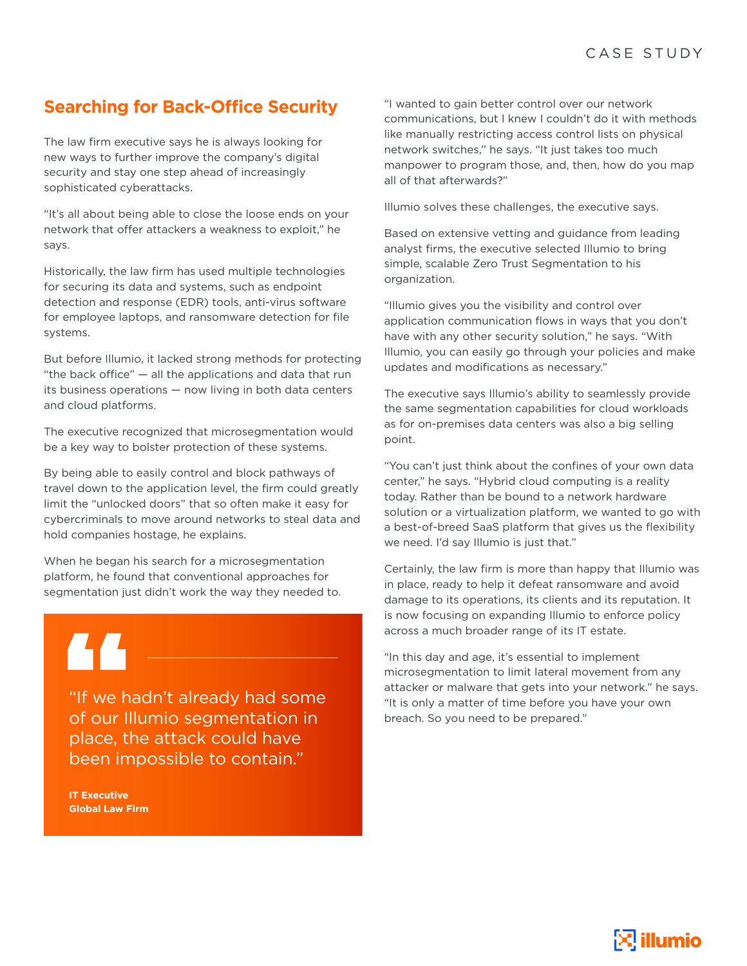### **Searching for Back-Office Security**

The law firm executive says he is always looking for new ways to further improve the company's digital security and stay one step ahead of increasingly sophisticated cyberattacks.

"It's all about being able to close the loose ends on your network that offer attackers a weakness to exploit," he says.

Historically, the law firm has used multiple technologies for securing its data and systems, such as endpoint detection and response (EDR) tools, anti-virus software for employee laptops, and ransomware detection for file systems.

But before Illumio, it lacked strong methods for protecting "the back office" — all the applications and data that run its business operations — now living in both data centers and cloud platforms.

The executive recognized that microsegmentation would be a key way to bolster protection of these systems.

By being able to easily control and block pathways of travel down to the application level, the firm could greatly limit the "unlocked doors" that so often make it easy for cybercriminals to move around networks to steal data and hold companies hostage, he explains.

When he began his search for a microsegmentation platform, he found that conventional approaches for segmentation just didn't work the way they needed to.

"If we hadn't already had some of our Illumio segmentation in place, the attack could have been impossible to contain."

**IT Executive Global Law Firm** "I wanted to gain better control over our network communications, but I knew I couldn't do it with methods like manually restricting access control lists on physical network switches," he says. "It just takes too much manpower to program those, and, then, how do you map all of that afterwards?"

Illumio solves these challenges, the executive says.

Based on extensive vetting and guidance from leading analyst firms, the executive selected Illumio to bring simple, scalable Zero Trust Segmentation to his organization.

"Illumio gives you the visibility and control over application communication flows in ways that you don't have with any other security solution," he says. "With Illumio, you can easily go through your policies and make updates and modifications as necessary."

The executive says Illumio's ability to seamlessly provide the same segmentation capabilities for cloud workloads as for on-premises data centers was also a big selling point.

"You can't just think about the confines of your own data center," he says. "Hybrid cloud computing is a reality today. Rather than be bound to a network hardware solution or a virtualization platform, we wanted to go with a best-of-breed SaaS platform that gives us the flexibility we need. I'd say Illumio is just that."

Certainly, the law firm is more than happy that Illumio was in place, ready to help it defeat ransomware and avoid damage to its operations, its clients and its reputation. It is now focusing on expanding Illumio to enforce policy across a much broader range of its IT estate.

"In this day and age, it's essential to implement microsegmentation to limit lateral movement from any attacker or malware that gets into your network." he says. "It is only a matter of time before you have your own breach. So you need to be prepared."